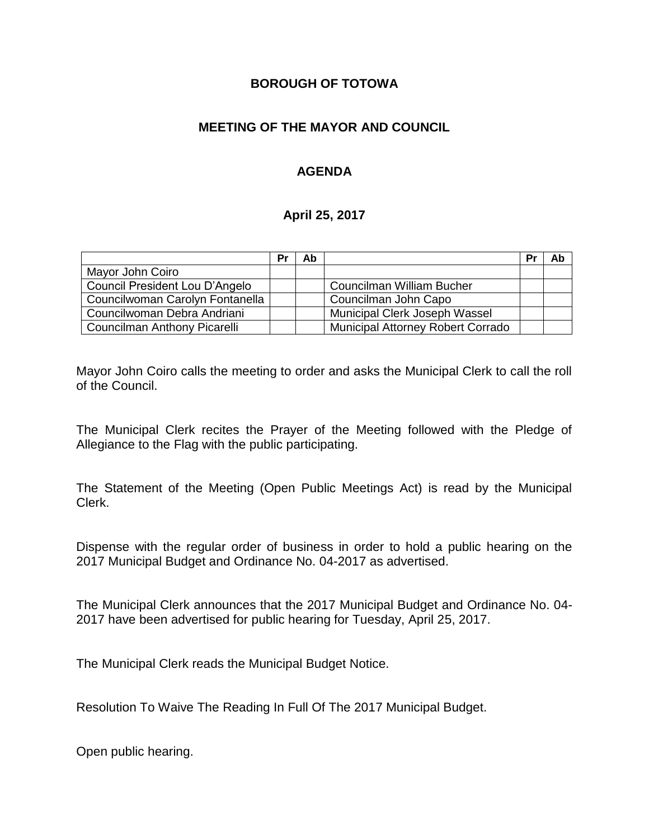### **BOROUGH OF TOTOWA**

## **MEETING OF THE MAYOR AND COUNCIL**

## **AGENDA**

### **April 25, 2017**

|                                 | Pr | Ab |                                          | Pr | Ab |
|---------------------------------|----|----|------------------------------------------|----|----|
| Mayor John Coiro                |    |    |                                          |    |    |
| Council President Lou D'Angelo  |    |    | Councilman William Bucher                |    |    |
| Councilwoman Carolyn Fontanella |    |    | Councilman John Capo                     |    |    |
| Councilwoman Debra Andriani     |    |    | Municipal Clerk Joseph Wassel            |    |    |
| Councilman Anthony Picarelli    |    |    | <b>Municipal Attorney Robert Corrado</b> |    |    |

Mayor John Coiro calls the meeting to order and asks the Municipal Clerk to call the roll of the Council.

The Municipal Clerk recites the Prayer of the Meeting followed with the Pledge of Allegiance to the Flag with the public participating.

The Statement of the Meeting (Open Public Meetings Act) is read by the Municipal Clerk.

Dispense with the regular order of business in order to hold a public hearing on the 2017 Municipal Budget and Ordinance No. 04-2017 as advertised.

The Municipal Clerk announces that the 2017 Municipal Budget and Ordinance No. 04- 2017 have been advertised for public hearing for Tuesday, April 25, 2017.

The Municipal Clerk reads the Municipal Budget Notice.

Resolution To Waive The Reading In Full Of The 2017 Municipal Budget.

Open public hearing.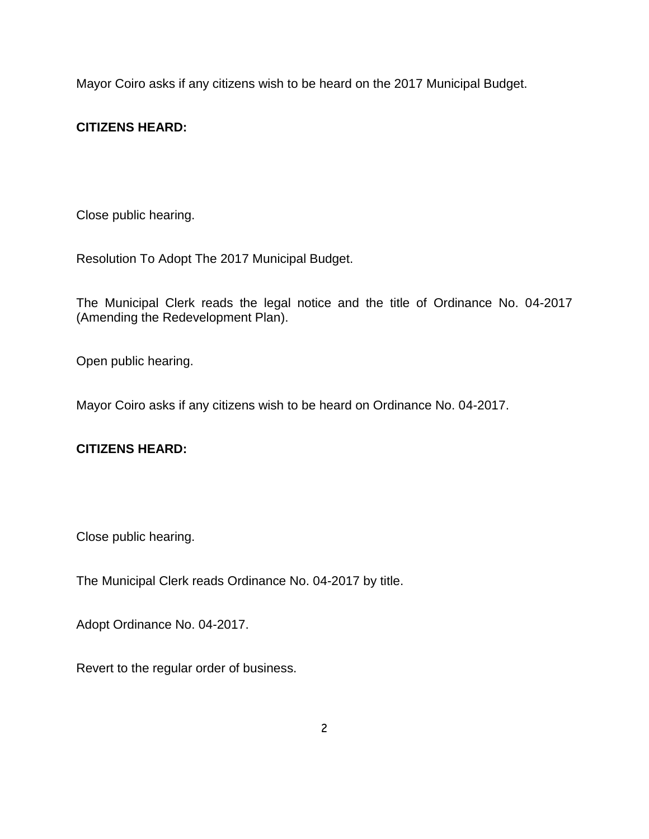Mayor Coiro asks if any citizens wish to be heard on the 2017 Municipal Budget.

# **CITIZENS HEARD:**

Close public hearing.

Resolution To Adopt The 2017 Municipal Budget.

The Municipal Clerk reads the legal notice and the title of Ordinance No. 04-2017 (Amending the Redevelopment Plan).

Open public hearing.

Mayor Coiro asks if any citizens wish to be heard on Ordinance No. 04-2017.

# **CITIZENS HEARD:**

Close public hearing.

The Municipal Clerk reads Ordinance No. 04-2017 by title.

Adopt Ordinance No. 04-2017.

Revert to the regular order of business.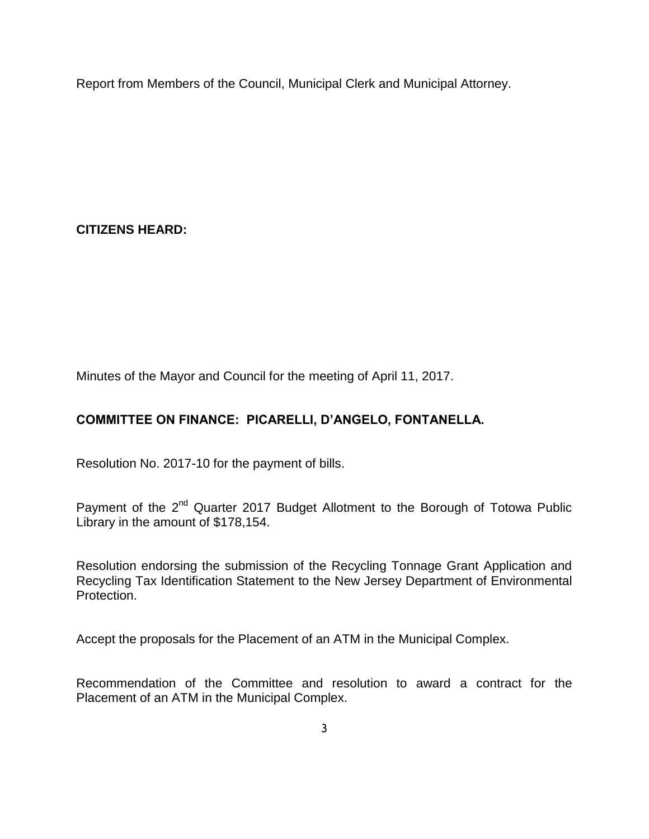Report from Members of the Council, Municipal Clerk and Municipal Attorney.

**CITIZENS HEARD:**

Minutes of the Mayor and Council for the meeting of April 11, 2017.

# **COMMITTEE ON FINANCE: PICARELLI, D'ANGELO, FONTANELLA.**

Resolution No. 2017-10 for the payment of bills.

Payment of the 2<sup>nd</sup> Quarter 2017 Budget Allotment to the Borough of Totowa Public Library in the amount of \$178,154.

Resolution endorsing the submission of the Recycling Tonnage Grant Application and Recycling Tax Identification Statement to the New Jersey Department of Environmental Protection.

Accept the proposals for the Placement of an ATM in the Municipal Complex.

Recommendation of the Committee and resolution to award a contract for the Placement of an ATM in the Municipal Complex.